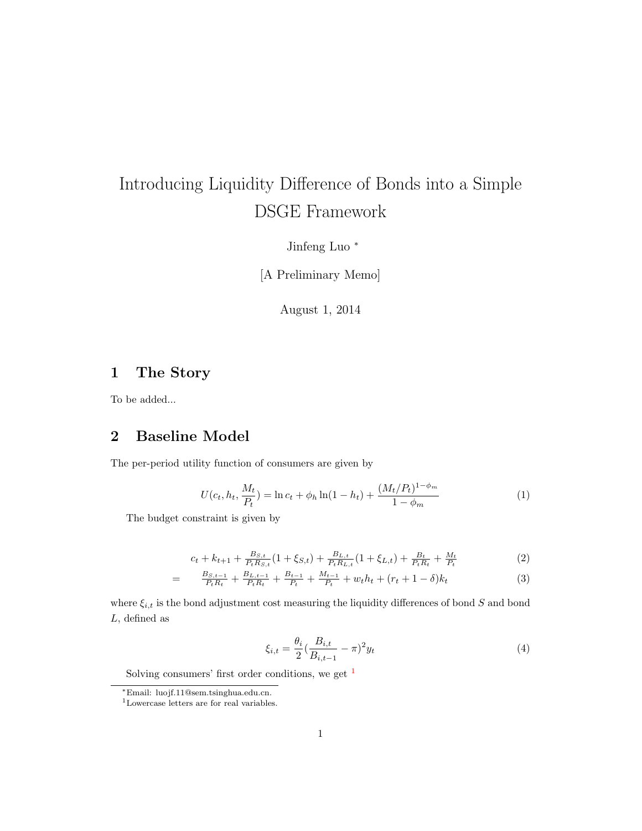# Introducing Liquidity Difference of Bonds into a Simple DSGE Framework

Jinfeng Luo <sup>∗</sup>

[A Preliminary Memo]

August 1, 2014

## 1 The Story

To be added...

## 2 Baseline Model

The per-period utility function of consumers are given by

$$
U(c_t, h_t, \frac{M_t}{P_t}) = \ln c_t + \phi_h \ln(1 - h_t) + \frac{(M_t/P_t)^{1 - \phi_m}}{1 - \phi_m}
$$
 (1)

The budget constraint is given by

$$
c_{t} + k_{t+1} + \frac{B_{S,t}}{P_{t}R_{S,t}}(1 + \xi_{S,t}) + \frac{B_{L,t}}{P_{t}R_{L,t}}(1 + \xi_{L,t}) + \frac{B_{t}}{P_{t}R_{t}} + \frac{M_{t}}{P_{t}}
$$
(2)

$$
= \frac{B_{S,t-1}}{P_t R_t} + \frac{B_{L,t-1}}{P_t R_t} + \frac{B_{t-1}}{P_t} + \frac{M_{t-1}}{P_t} + w_t h_t + (r_t + 1 - \delta) k_t \tag{3}
$$

where  $\xi_{i,t}$  is the bond adjustment cost measuring the liquidity differences of bond S and bond  $L$ , defined as

$$
\xi_{i,t} = \frac{\theta_i}{2} \left( \frac{B_{i,t}}{B_{i,t-1}} - \pi \right)^2 y_t \tag{4}
$$

Solving consumers' first order conditions, we get  $<sup>1</sup>$  $<sup>1</sup>$  $<sup>1</sup>$ </sup>

<sup>∗</sup>Email: luojf.11@sem.tsinghua.edu.cn.

<span id="page-0-0"></span><sup>1</sup>Lowercase letters are for real variables.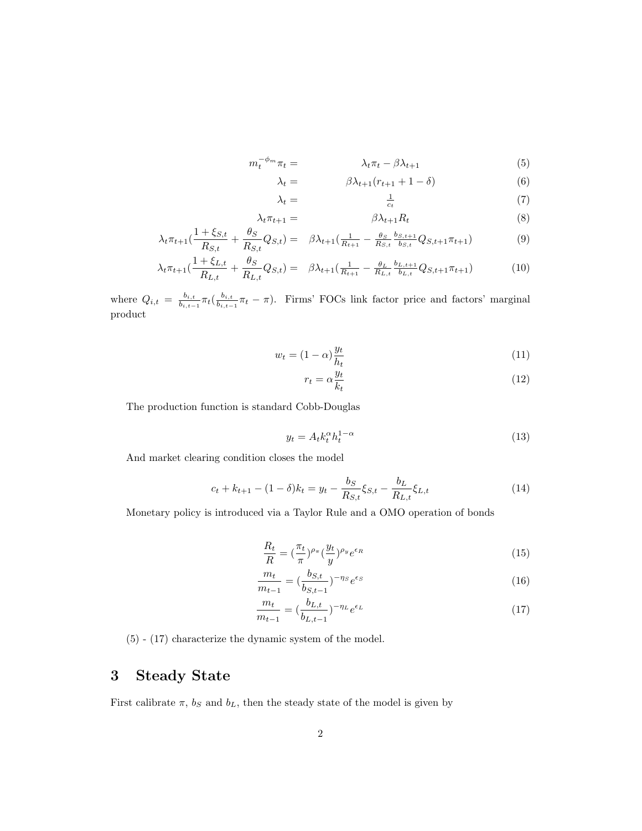$$
m_t^{-\phi_m}\pi_t = \lambda_t \pi_t - \beta \lambda_{t+1} \tag{5}
$$

$$
\lambda_t = \beta \lambda_{t+1} (r_{t+1} + 1 - \delta) \tag{6}
$$

$$
\lambda_t = \frac{1}{c_t} \tag{7}
$$

$$
\lambda_t \pi_{t+1} = \beta \lambda_{t+1} R_t \tag{8}
$$

$$
\lambda_t \pi_{t+1} \left( \frac{1+\xi_{S,t}}{R_{S,t}} + \frac{\theta_S}{R_{S,t}} Q_{S,t} \right) = \beta \lambda_{t+1} \left( \frac{1}{R_{t+1}} - \frac{\theta_S}{R_{S,t}} \frac{b_{S,t+1}}{b_{S,t}} Q_{S,t+1} \pi_{t+1} \right) \tag{9}
$$

$$
\lambda_t \pi_{t+1} \left( \frac{1 + \xi_{L,t}}{R_{L,t}} + \frac{\theta_S}{R_{L,t}} Q_{S,t} \right) = \beta \lambda_{t+1} \left( \frac{1}{R_{t+1}} - \frac{\theta_L}{R_{L,t}} \frac{b_{L,t+1}}{b_{L,t}} Q_{S,t+1} \pi_{t+1} \right) \tag{10}
$$

where  $Q_{i,t} = \frac{b_{i,t}}{b_{i,t}}$  $\frac{b_{i,t}}{b_{i,t-1}} \pi_t(\frac{b_{i,t}}{b_{i,t-1}}$  $\frac{b_{i,t}}{b_{i,t-1}}\pi_t - \pi$ . Firms' FOCs link factor price and factors' marginal product

$$
w_t = (1 - \alpha) \frac{y_t}{h_t} \tag{11}
$$

$$
r_t = \alpha \frac{y_t}{k_t} \tag{12}
$$

The production function is standard Cobb-Douglas

$$
y_t = A_t k_t^{\alpha} h_t^{1-\alpha} \tag{13}
$$

And market clearing condition closes the model

$$
c_t + k_{t+1} - (1 - \delta)k_t = y_t - \frac{b_S}{R_{S,t}} \xi_{S,t} - \frac{b_L}{R_{L,t}} \xi_{L,t}
$$
\n(14)

Monetary policy is introduced via a Taylor Rule and a OMO operation of bonds

$$
\frac{R_t}{R} = \left(\frac{\pi_t}{\pi}\right)^{\rho_\pi} \left(\frac{y_t}{y}\right)^{\rho_y} e^{\epsilon_R} \tag{15}
$$

$$
\frac{m_t}{m_{t-1}} = (\frac{b_{S,t}}{b_{S,t-1}})^{-\eta_S} e^{\epsilon_S}
$$
\n(16)

$$
\frac{m_t}{m_{t-1}} = (\frac{b_{L,t}}{b_{L,t-1}})^{-\eta_L} e^{\epsilon_L} \tag{17}
$$

(5) - (17) characterize the dynamic system of the model.

#### 3 Steady State

First calibrate  $\pi$ ,  $b_S$  and  $b_L$ , then the steady state of the model is given by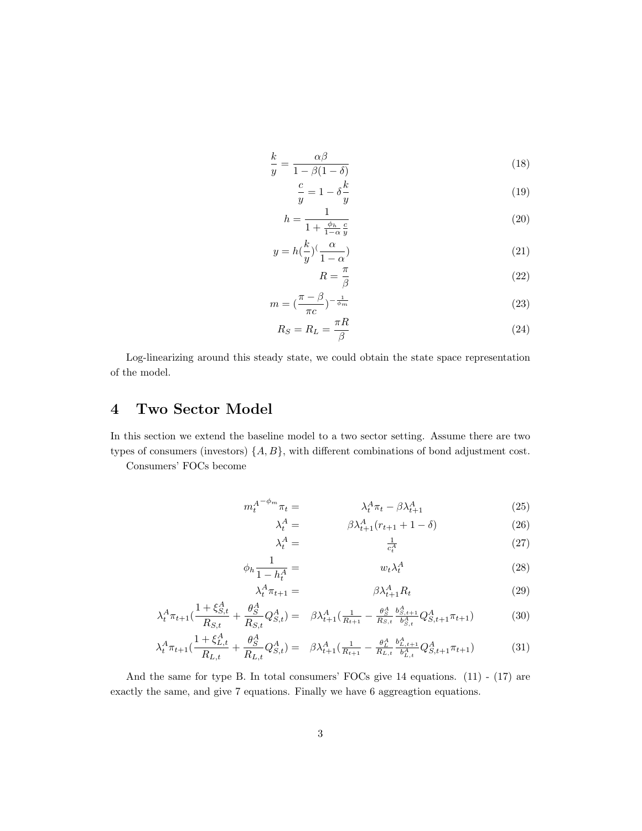$$
\frac{k}{y} = \frac{\alpha \beta}{1 - \beta(1 - \delta)}\tag{18}
$$

$$
\frac{c}{y} = 1 - \delta \frac{k}{y} \tag{19}
$$

$$
h = \frac{1}{1 + \frac{\phi_h}{1 - \alpha} \frac{c}{y}}\tag{20}
$$

$$
y = h(\frac{k}{y})^{\left(\frac{\alpha}{1-\alpha}\right)}\tag{21}
$$

$$
R = \frac{\pi}{\beta} \tag{22}
$$

$$
m = \left(\frac{\pi - \beta}{\pi c}\right)^{-\frac{1}{\phi_m}}
$$
\n<sup>(23)</sup>

$$
R_S = R_L = \frac{\pi R}{\beta} \tag{24}
$$

Log-linearizing around this steady state, we could obtain the state space representation of the model.

## 4 Two Sector Model

In this section we extend the baseline model to a two sector setting. Assume there are two types of consumers (investors)  $\{A, B\}$ , with different combinations of bond adjustment cost.

Consumers' FOCs become

$$
m_t^{A^{-\phi_m}} \pi_t = \lambda_t^A \pi_t - \beta \lambda_{t+1}^A \tag{25}
$$

$$
\lambda_t^A = \beta \lambda_{t+1}^A (r_{t+1} + 1 - \delta) \tag{26}
$$

$$
\lambda_t^A = \frac{1}{c_t^A} \tag{27}
$$

$$
\phi_h \frac{1}{1 - h_t^A} = \qquad \qquad w_t \lambda_t^A \tag{28}
$$

$$
\lambda_t^A \pi_{t+1} = \beta \lambda_{t+1}^A R_t \tag{29}
$$

$$
\lambda_t^A \pi_{t+1} \left( \frac{1 + \xi_{S,t}^A}{R_{S,t}} + \frac{\theta_S^A}{R_{S,t}} Q_{S,t}^A \right) = \beta \lambda_{t+1}^A \left( \frac{1}{R_{t+1}} - \frac{\theta_S^A}{R_{S,t}} \frac{b_{S,t+1}^A}{b_{S,t}^A} Q_{S,t+1}^A \pi_{t+1} \right) \tag{30}
$$

$$
\lambda_t^A \pi_{t+1} \left( \frac{1 + \xi_{L,t}^A}{R_{L,t}} + \frac{\theta_S^A}{R_{L,t}} Q_{S,t}^A \right) = \beta \lambda_{t+1}^A \left( \frac{1}{R_{t+1}} - \frac{\theta_L^A}{R_{L,t}} \frac{b_{L,t+1}^A}{b_{L,t}^A} Q_{S,t+1}^A \pi_{t+1} \right) \tag{31}
$$

And the same for type B. In total consumers' FOCs give 14 equations. (11) - (17) are exactly the same, and give 7 equations. Finally we have 6 aggreagtion equations.